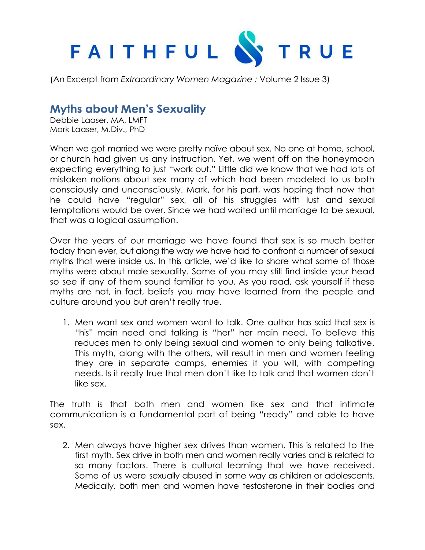

(An Excerpt from *Extraordinary Women Magazine :* Volume 2 Issue 3)

## **Myths about Men's Sexuality**

Debbie Laaser, MA, LMFT Mark Laaser, M.Div., PhD

When we got married we were pretty naïve about sex. No one at home, school, or church had given us any instruction. Yet, we went off on the honeymoon expecting everything to just "work out." Little did we know that we had lots of mistaken notions about sex many of which had been modeled to us both consciously and unconsciously. Mark, for his part, was hoping that now that he could have "regular" sex, all of his struggles with lust and sexual temptations would be over. Since we had waited until marriage to be sexual, that was a logical assumption.

Over the years of our marriage we have found that sex is so much better today than ever, but along the way we have had to confront a number of sexual myths that were inside us. In this article, we'd like to share what some of those myths were about male sexuality. Some of you may still find inside your head so see if any of them sound familiar to you. As you read, ask yourself if these myths are not, in fact, beliefs you may have learned from the people and culture around you but aren't really true.

1. Men want sex and women want to talk. One author has said that sex is "his" main need and talking is "her" her main need. To believe this reduces men to only being sexual and women to only being talkative. This myth, along with the others, will result in men and women feeling they are in separate camps, enemies if you will, with competing needs. Is it really true that men don't like to talk and that women don't like sex.

The truth is that both men and women like sex and that intimate communication is a fundamental part of being "ready" and able to have sex.

2. Men always have higher sex drives than women. This is related to the first myth. Sex drive in both men and women really varies and is related to so many factors. There is cultural learning that we have received. Some of us were sexually abused in some way as children or adolescents. Medically, both men and women have testosterone in their bodies and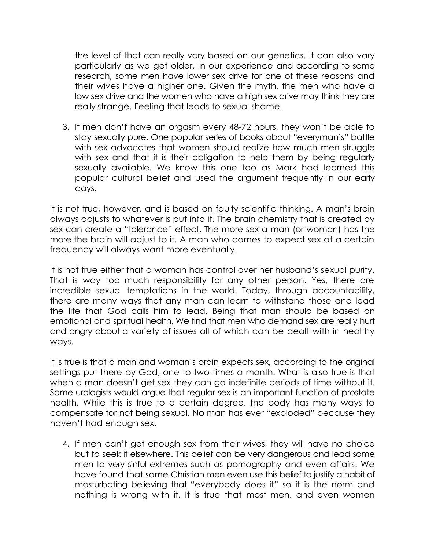the level of that can really vary based on our genetics. It can also vary particularly as we get older. In our experience and according to some research, some men have lower sex drive for one of these reasons and their wives have a higher one. Given the myth, the men who have a low sex drive and the women who have a high sex drive may think they are really strange. Feeling that leads to sexual shame.

3. If men don't have an orgasm every 48-72 hours, they won't be able to stay sexually pure. One popular series of books about "everyman's" battle with sex advocates that women should realize how much men struggle with sex and that it is their obligation to help them by being regularly sexually available. We know this one too as Mark had learned this popular cultural belief and used the argument frequently in our early days.

It is not true, however, and is based on faulty scientific thinking. A man's brain always adjusts to whatever is put into it. The brain chemistry that is created by sex can create a "tolerance" effect. The more sex a man (or woman) has the more the brain will adjust to it. A man who comes to expect sex at a certain frequency will always want more eventually.

It is not true either that a woman has control over her husband's sexual purity. That is way too much responsibility for any other person. Yes, there are incredible sexual temptations in the world. Today, through accountability, there are many ways that any man can learn to withstand those and lead the life that God calls him to lead. Being that man should be based on emotional and spiritual health. We find that men who demand sex are really hurt and angry about a variety of issues all of which can be dealt with in healthy ways.

It is true is that a man and woman's brain expects sex, according to the original settings put there by God, one to two times a month. What is also true is that when a man doesn't get sex they can go indefinite periods of time without it. Some urologists would argue that regular sex is an important function of prostate health. While this is true to a certain degree, the body has many ways to compensate for not being sexual. No man has ever "exploded" because they haven't had enough sex.

4. If men can't get enough sex from their wives, they will have no choice but to seek it elsewhere. This belief can be very dangerous and lead some men to very sinful extremes such as pornography and even affairs. We have found that some Christian men even use this belief to justify a habit of masturbating believing that "everybody does it" so it is the norm and nothing is wrong with it. It is true that most men, and even women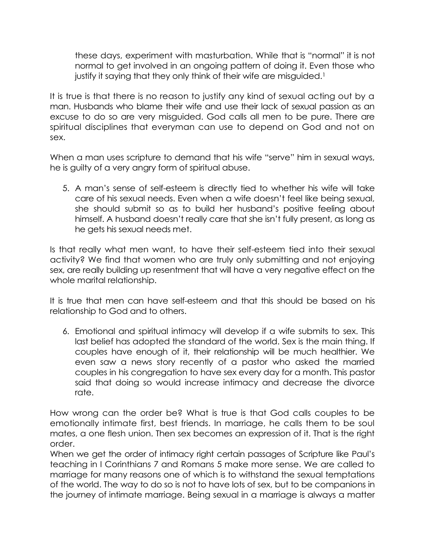these days, experiment with masturbation. While that is "normal" it is not normal to get involved in an ongoing pattern of doing it. Even those who justify it saying that they only think of their wife are misguided.<sup>1</sup>

It is true is that there is no reason to justify any kind of sexual acting out by a man. Husbands who blame their wife and use their lack of sexual passion as an excuse to do so are very misguided. God calls all men to be pure. There are spiritual disciplines that everyman can use to depend on God and not on sex.

When a man uses scripture to demand that his wife "serve" him in sexual ways, he is guilty of a very angry form of spiritual abuse.

5. A man's sense of self-esteem is directly tied to whether his wife will take care of his sexual needs. Even when a wife doesn't feel like being sexual, she should submit so as to build her husband's positive feeling about himself. A husband doesn't really care that she isn't fully present, as long as he gets his sexual needs met.

Is that really what men want, to have their self-esteem tied into their sexual activity? We find that women who are truly only submitting and not enjoying sex, are really building up resentment that will have a very negative effect on the whole marital relationship.

It is true that men can have self-esteem and that this should be based on his relationship to God and to others.

6. Emotional and spiritual intimacy will develop if a wife submits to sex. This last belief has adopted the standard of the world. Sex is the main thing. If couples have enough of it, their relationship will be much healthier. We even saw a news story recently of a pastor who asked the married couples in his congregation to have sex every day for a month. This pastor said that doing so would increase intimacy and decrease the divorce rate.

How wrong can the order be? What is true is that God calls couples to be emotionally intimate first, best friends. In marriage, he calls them to be soul mates, a one flesh union. Then sex becomes an expression of it. That is the right order.

When we get the order of intimacy right certain passages of Scripture like Paul's teaching in I Corinthians 7 and Romans 5 make more sense. We are called to marriage for many reasons one of which is to withstand the sexual temptations of the world. The way to do so is not to have lots of sex, but to be companions in the journey of intimate marriage. Being sexual in a marriage is always a matter